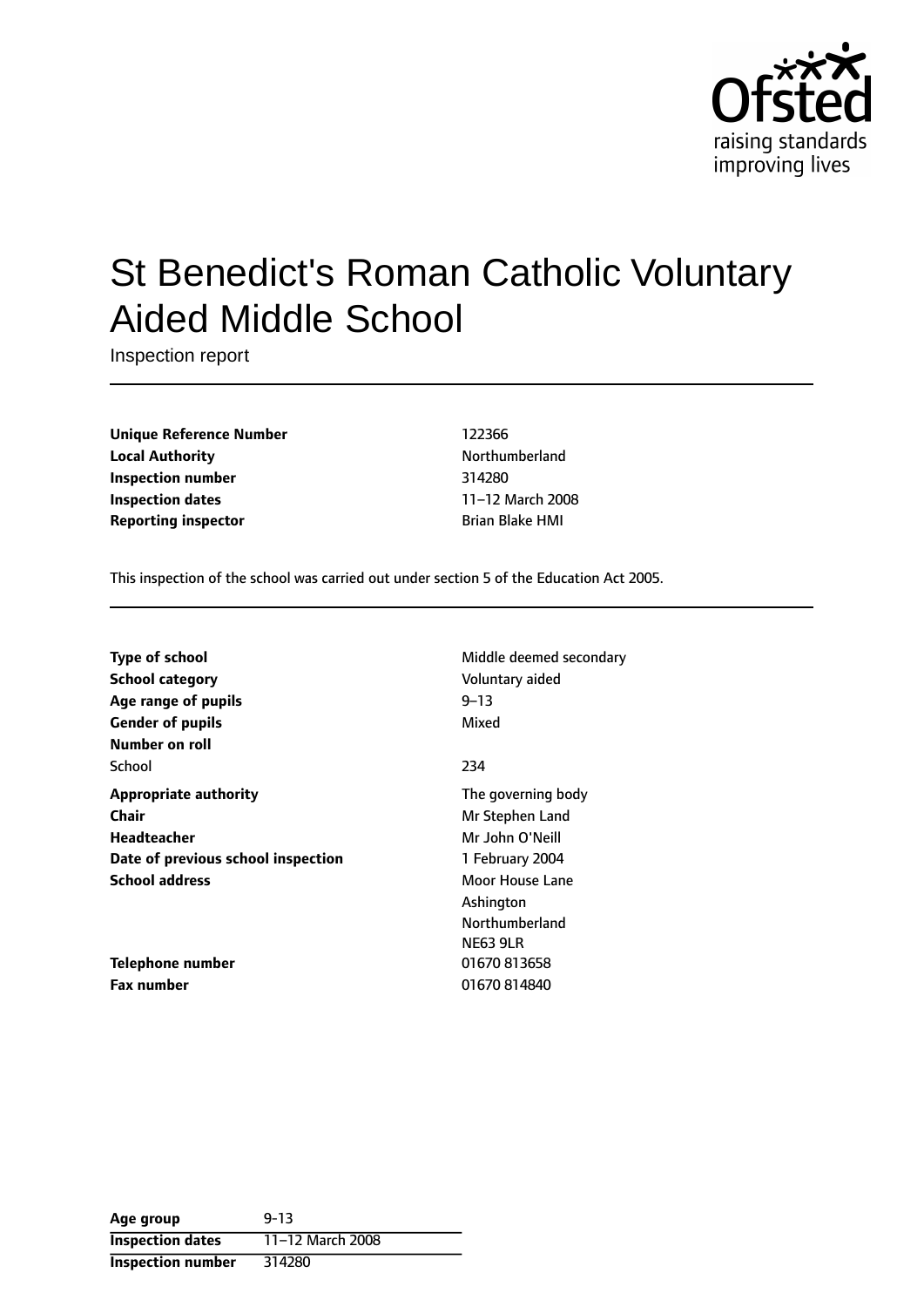

# St Benedict's Roman Catholic Voluntary Aided Middle School

Inspection report

**Unique Reference Number** 122366 **Local Authority Northumberland Inspection number** 314280 **Inspection dates** 11-12 March 2008 **Reporting inspector Brian Blake HMI** 

This inspection of the school was carried out under section 5 of the Education Act 2005.

| Middle deemed secondary |
|-------------------------|
| Voluntary aided         |
| $9 - 13$                |
| Mixed                   |
|                         |
| 234                     |
| The governing body      |
| Mr Stephen Land         |
| Mr John O'Neill         |
| 1 February 2004         |
| Moor House Lane         |
| Ashington               |
| Northumberland          |
| <b>NE63 9LR</b>         |
| 01670813658             |
| 01670814840             |
|                         |

| Age group                | $9 - 13$         |
|--------------------------|------------------|
| <b>Inspection dates</b>  | 11-12 March 2008 |
| <b>Inspection number</b> | 314280           |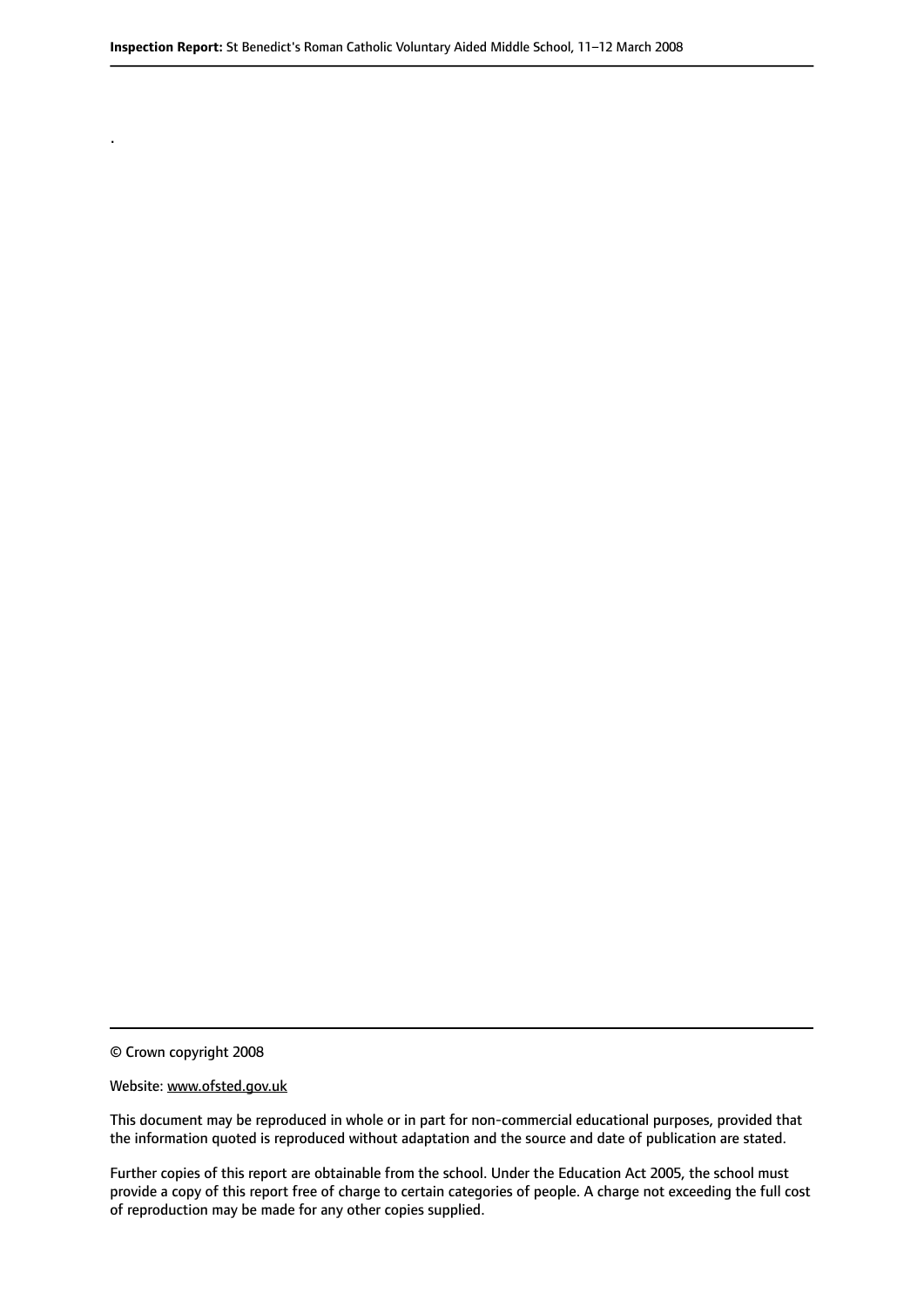© Crown copyright 2008

.

#### Website: www.ofsted.gov.uk

This document may be reproduced in whole or in part for non-commercial educational purposes, provided that the information quoted is reproduced without adaptation and the source and date of publication are stated.

Further copies of this report are obtainable from the school. Under the Education Act 2005, the school must provide a copy of this report free of charge to certain categories of people. A charge not exceeding the full cost of reproduction may be made for any other copies supplied.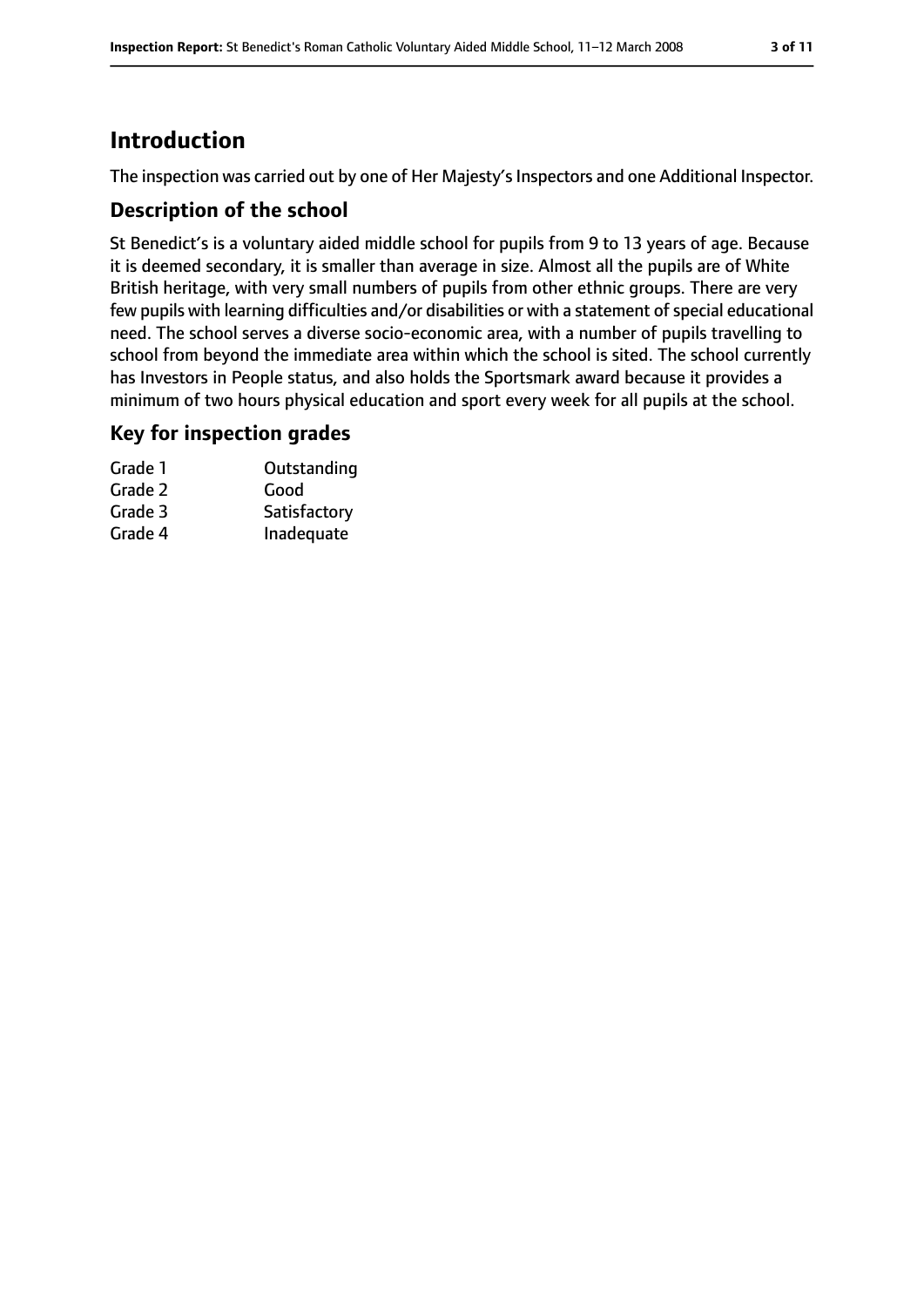# **Introduction**

The inspection was carried out by one of Her Majesty's Inspectors and one Additional Inspector.

### **Description of the school**

St Benedict's is a voluntary aided middle school for pupils from 9 to 13 years of age. Because it is deemed secondary, it is smaller than average in size. Almost all the pupils are of White British heritage, with very small numbers of pupils from other ethnic groups. There are very few pupils with learning difficulties and/or disabilities or with a statement of special educational need. The school serves a diverse socio-economic area, with a number of pupils travelling to school from beyond the immediate area within which the school is sited. The school currently has Investors in People status, and also holds the Sportsmark award because it provides a minimum of two hours physical education and sport every week for all pupils at the school.

### **Key for inspection grades**

| Grade 1 | Outstanding  |
|---------|--------------|
| Grade 2 | Good         |
| Grade 3 | Satisfactory |
| Grade 4 | Inadequate   |
|         |              |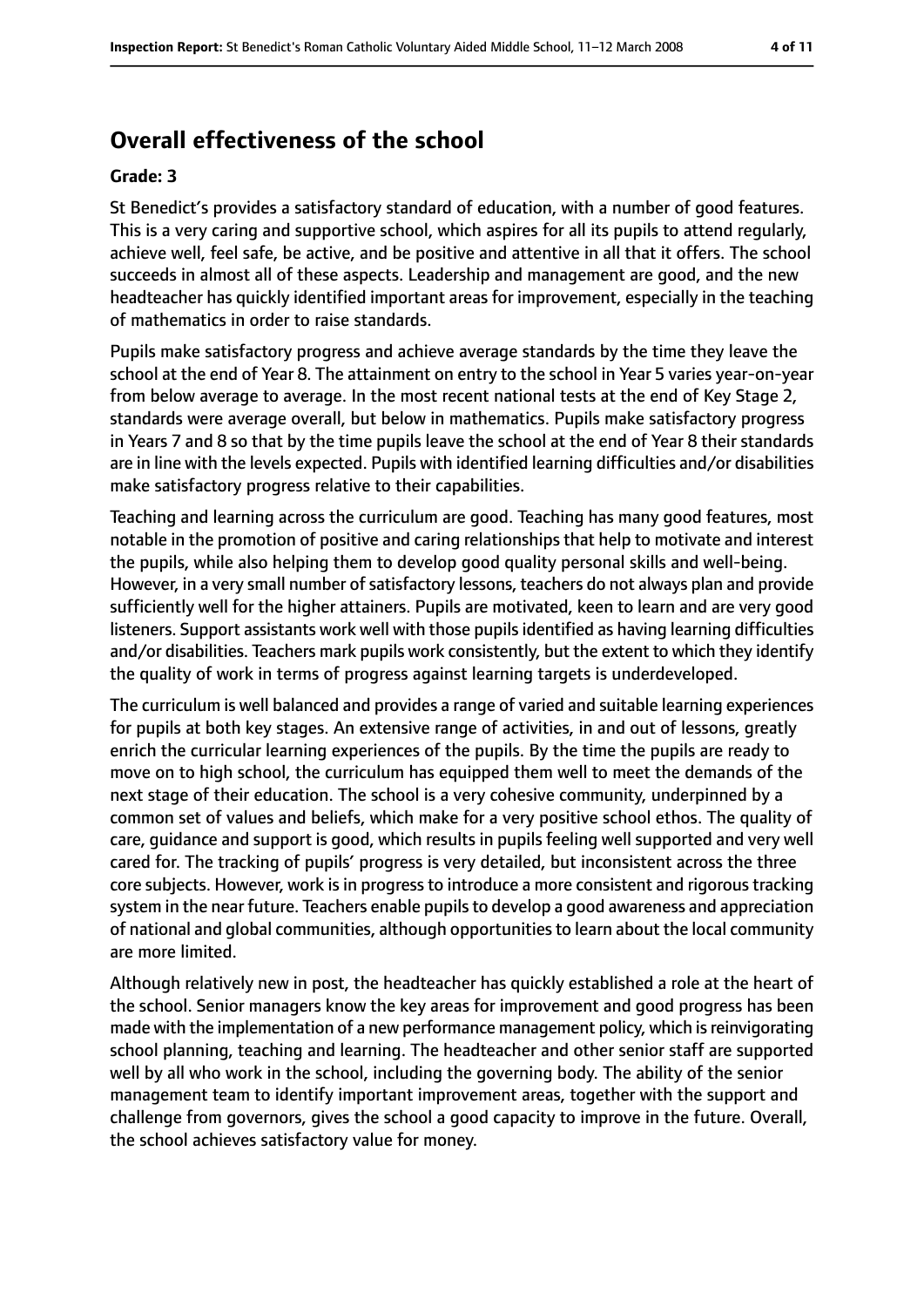# **Overall effectiveness of the school**

#### **Grade: 3**

St Benedict's provides a satisfactory standard of education, with a number of good features. This is a very caring and supportive school, which aspires for all its pupils to attend regularly, achieve well, feel safe, be active, and be positive and attentive in all that it offers. The school succeeds in almost all of these aspects. Leadership and management are good, and the new headteacher has quickly identified important areas for improvement, especially in the teaching of mathematics in order to raise standards.

Pupils make satisfactory progress and achieve average standards by the time they leave the school at the end of Year 8. The attainment on entry to the school in Year 5 varies year-on-year from below average to average. In the most recent national tests at the end of Key Stage 2, standards were average overall, but below in mathematics. Pupils make satisfactory progress in Years 7 and 8 so that by the time pupils leave the school at the end of Year 8 their standards are in line with the levels expected. Pupils with identified learning difficulties and/or disabilities make satisfactory progress relative to their capabilities.

Teaching and learning across the curriculum are good. Teaching has many good features, most notable in the promotion of positive and caring relationships that help to motivate and interest the pupils, while also helping them to develop good quality personal skills and well-being. However, in a very small number of satisfactory lessons, teachers do not always plan and provide sufficiently well for the higher attainers. Pupils are motivated, keen to learn and are very good listeners. Support assistants work well with those pupils identified as having learning difficulties and/or disabilities. Teachers mark pupils work consistently, but the extent to which they identify the quality of work in terms of progress against learning targets is underdeveloped.

The curriculum is well balanced and provides a range of varied and suitable learning experiences for pupils at both key stages. An extensive range of activities, in and out of lessons, greatly enrich the curricular learning experiences of the pupils. By the time the pupils are ready to move on to high school, the curriculum has equipped them well to meet the demands of the next stage of their education. The school is a very cohesive community, underpinned by a common set of values and beliefs, which make for a very positive school ethos. The quality of care, guidance and support is good, which results in pupils feeling well supported and very well cared for. The tracking of pupils' progress is very detailed, but inconsistent across the three core subjects. However, work is in progress to introduce a more consistent and rigorous tracking system in the near future. Teachers enable pupils to develop a good awareness and appreciation of national and global communities, although opportunitiesto learn about the local community are more limited.

Although relatively new in post, the headteacher has quickly established a role at the heart of the school. Senior managers know the key areas for improvement and good progress has been made with the implementation of a new performance management policy, which is reinvigorating school planning, teaching and learning. The headteacher and other senior staff are supported well by all who work in the school, including the governing body. The ability of the senior management team to identify important improvement areas, together with the support and challenge from governors, gives the school a good capacity to improve in the future. Overall, the school achieves satisfactory value for money.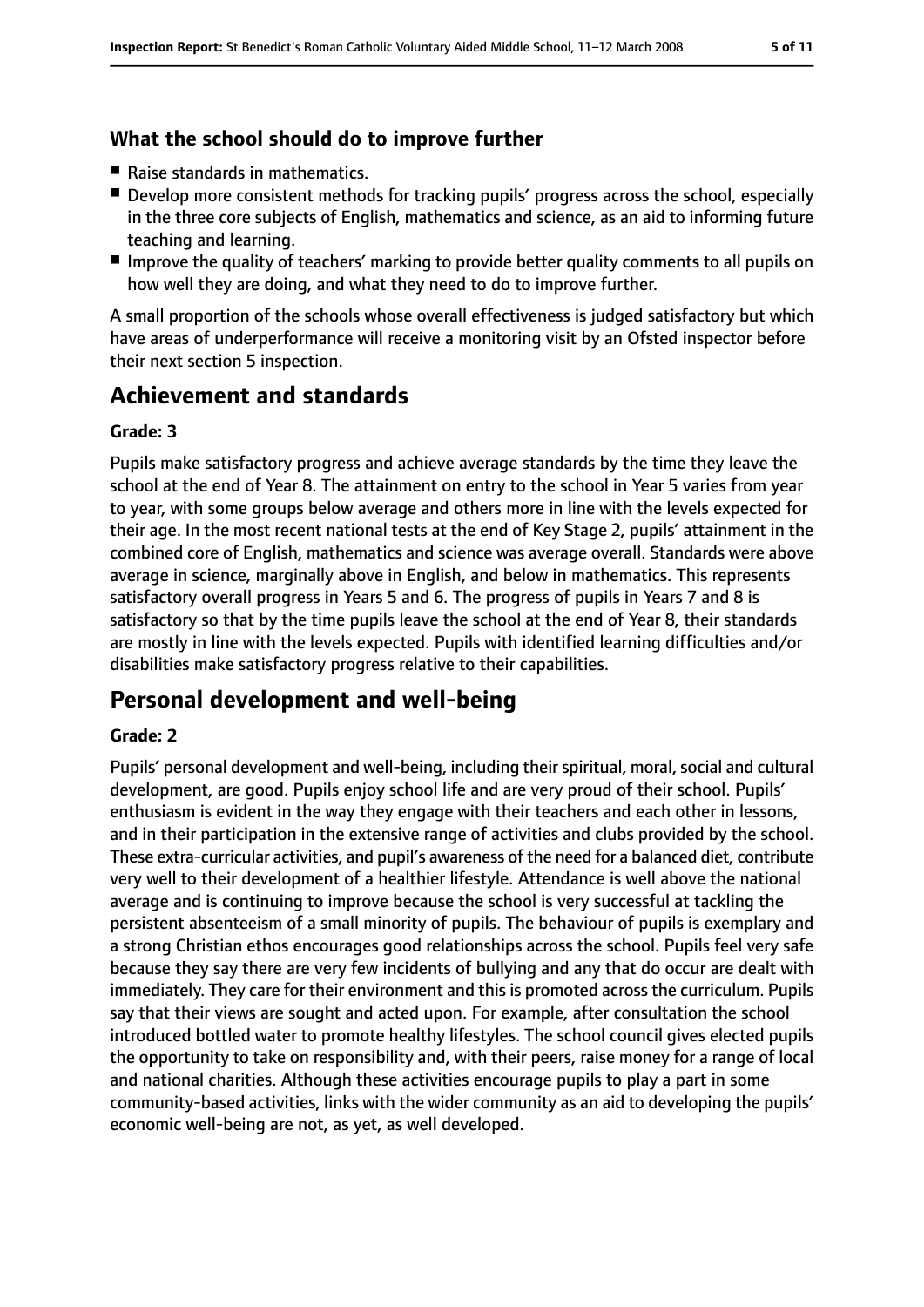### **What the school should do to improve further**

- Raise standards in mathematics.
- Develop more consistent methods for tracking pupils' progress across the school, especially in the three core subjects of English, mathematics and science, as an aid to informing future teaching and learning.
- Improve the quality of teachers' marking to provide better quality comments to all pupils on how well they are doing, and what they need to do to improve further.

A small proportion of the schools whose overall effectiveness is judged satisfactory but which have areas of underperformance will receive a monitoring visit by an Ofsted inspector before their next section 5 inspection.

# **Achievement and standards**

#### **Grade: 3**

Pupils make satisfactory progress and achieve average standards by the time they leave the school at the end of Year 8. The attainment on entry to the school in Year 5 varies from year to year, with some groups below average and others more in line with the levels expected for their age. In the most recent national tests at the end of Key Stage 2, pupils' attainment in the combined core of English, mathematics and science was average overall. Standards were above average in science, marginally above in English, and below in mathematics. This represents satisfactory overall progress in Years 5 and 6. The progress of pupils in Years 7 and 8 is satisfactory so that by the time pupils leave the school at the end of Year 8, their standards are mostly in line with the levels expected. Pupils with identified learning difficulties and/or disabilities make satisfactory progress relative to their capabilities.

# **Personal development and well-being**

#### **Grade: 2**

Pupils' personal development and well-being, including their spiritual, moral, social and cultural development, are good. Pupils enjoy school life and are very proud of their school. Pupils' enthusiasm is evident in the way they engage with their teachers and each other in lessons, and in their participation in the extensive range of activities and clubs provided by the school. These extra-curricular activities, and pupil's awareness of the need for a balanced diet, contribute very well to their development of a healthier lifestyle. Attendance is well above the national average and is continuing to improve because the school is very successful at tackling the persistent absenteeism of a small minority of pupils. The behaviour of pupils is exemplary and a strong Christian ethos encourages good relationships across the school. Pupils feel very safe because they say there are very few incidents of bullying and any that do occur are dealt with immediately. They care for their environment and this is promoted across the curriculum. Pupils say that their views are sought and acted upon. For example, after consultation the school introduced bottled water to promote healthy lifestyles. The school council gives elected pupils the opportunity to take on responsibility and, with their peers, raise money for a range of local and national charities. Although these activities encourage pupils to play a part in some community-based activities, links with the wider community as an aid to developing the pupils' economic well-being are not, as yet, as well developed.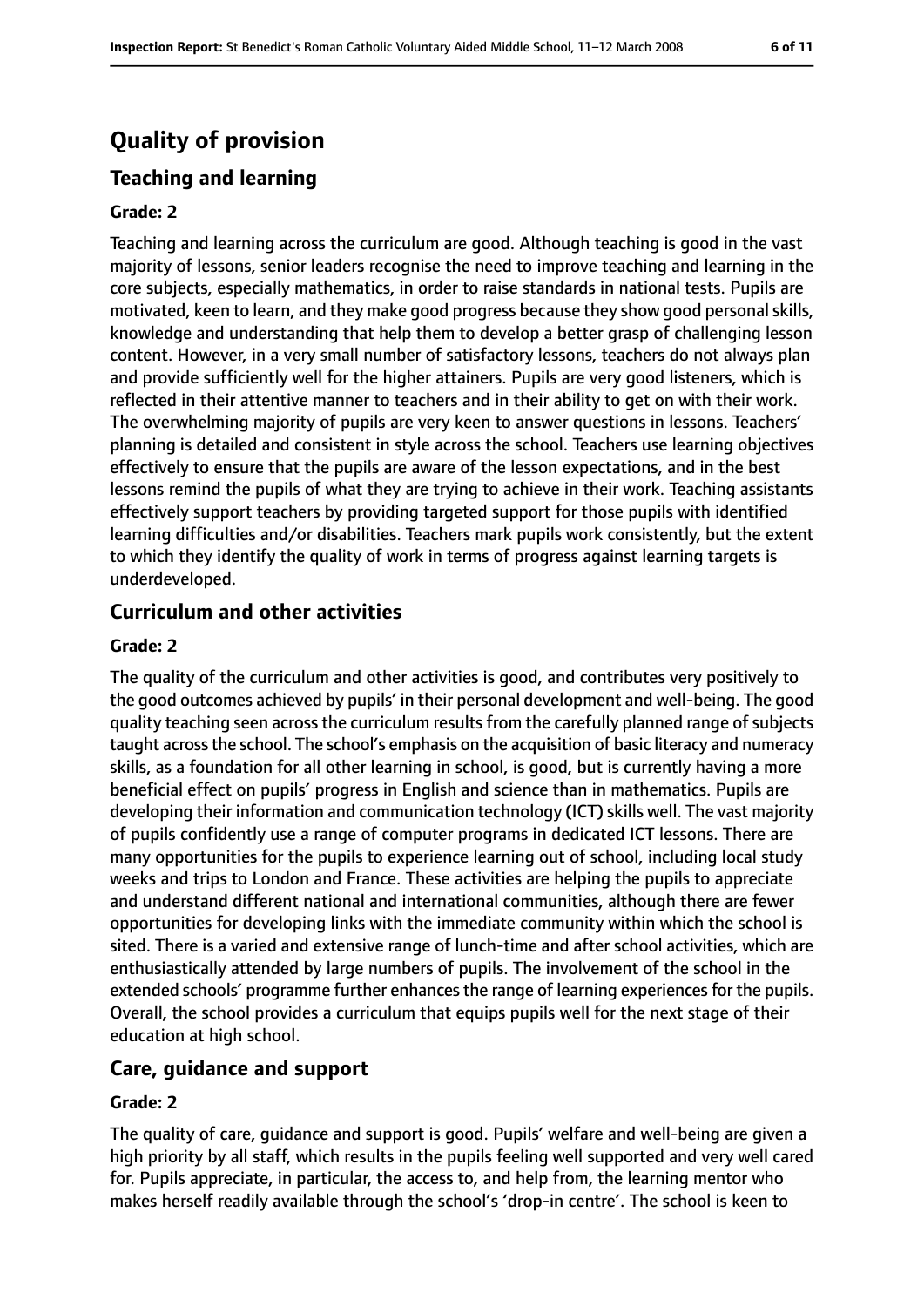# **Quality of provision**

### **Teaching and learning**

#### **Grade: 2**

Teaching and learning across the curriculum are good. Although teaching is good in the vast majority of lessons, senior leaders recognise the need to improve teaching and learning in the core subjects, especially mathematics, in order to raise standards in national tests. Pupils are motivated, keen to learn, and they make good progress because they show good personal skills, knowledge and understanding that help them to develop a better grasp of challenging lesson content. However, in a very small number of satisfactory lessons, teachers do not always plan and provide sufficiently well for the higher attainers. Pupils are very good listeners, which is reflected in their attentive manner to teachers and in their ability to get on with their work. The overwhelming majority of pupils are very keen to answer questions in lessons. Teachers' planning is detailed and consistent in style across the school. Teachers use learning objectives effectively to ensure that the pupils are aware of the lesson expectations, and in the best lessons remind the pupils of what they are trying to achieve in their work. Teaching assistants effectively support teachers by providing targeted support for those pupils with identified learning difficulties and/or disabilities. Teachers mark pupils work consistently, but the extent to which they identify the quality of work in terms of progress against learning targets is underdeveloped.

### **Curriculum and other activities**

#### **Grade: 2**

The quality of the curriculum and other activities is good, and contributes very positively to the good outcomes achieved by pupils' in their personal development and well-being. The good quality teaching seen across the curriculum results from the carefully planned range of subjects taught acrossthe school. The school's emphasis on the acquisition of basic literacy and numeracy skills, as a foundation for all other learning in school, is good, but is currently having a more beneficial effect on pupils' progress in English and science than in mathematics. Pupils are developing their information and communication technology (ICT) skills well. The vast majority of pupils confidently use a range of computer programs in dedicated ICT lessons. There are many opportunities for the pupils to experience learning out of school, including local study weeks and trips to London and France. These activities are helping the pupils to appreciate and understand different national and international communities, although there are fewer opportunities for developing links with the immediate community within which the school is sited. There is a varied and extensive range of lunch-time and after school activities, which are enthusiastically attended by large numbers of pupils. The involvement of the school in the extended schools' programme further enhances the range of learning experiences for the pupils. Overall, the school provides a curriculum that equips pupils well for the next stage of their education at high school.

#### **Care, guidance and support**

#### **Grade: 2**

The quality of care, guidance and support is good. Pupils' welfare and well-being are given a high priority by all staff, which results in the pupils feeling well supported and very well cared for. Pupils appreciate, in particular, the access to, and help from, the learning mentor who makes herself readily available through the school's 'drop-in centre'. The school is keen to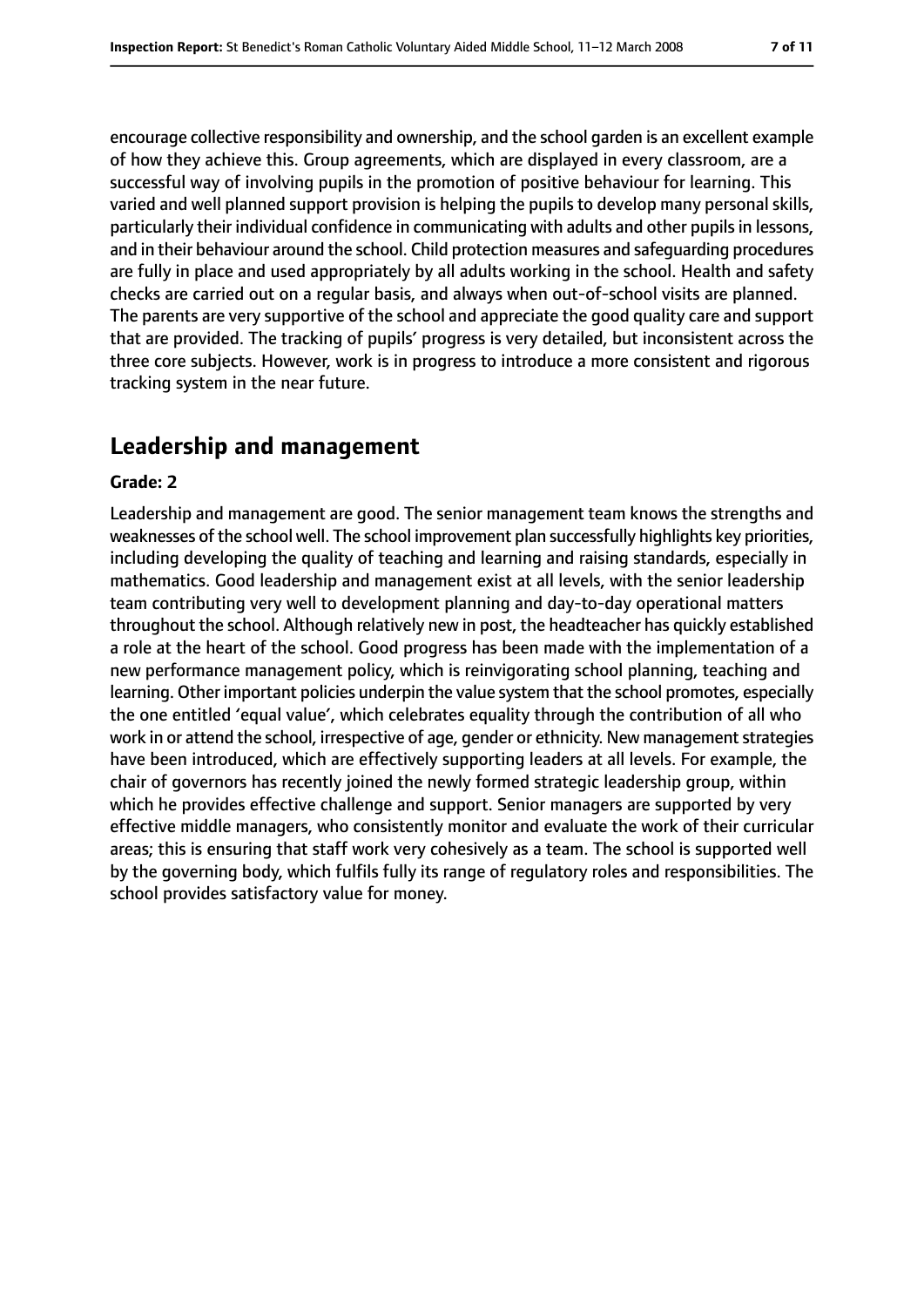encourage collective responsibility and ownership, and the school garden is an excellent example of how they achieve this. Group agreements, which are displayed in every classroom, are a successful way of involving pupils in the promotion of positive behaviour for learning. This varied and well planned support provision is helping the pupils to develop many personal skills, particularly their individual confidence in communicating with adults and other pupilsin lessons, and in their behaviour around the school. Child protection measures and safeguarding procedures are fully in place and used appropriately by all adults working in the school. Health and safety checks are carried out on a regular basis, and always when out-of-school visits are planned. The parents are very supportive of the school and appreciate the good quality care and support that are provided. The tracking of pupils' progress is very detailed, but inconsistent across the three core subjects. However, work is in progress to introduce a more consistent and rigorous tracking system in the near future.

# **Leadership and management**

#### **Grade: 2**

Leadership and management are good. The senior management team knows the strengths and weaknesses of the school well. The school improvement plan successfully highlights key priorities, including developing the quality of teaching and learning and raising standards, especially in mathematics. Good leadership and management exist at all levels, with the senior leadership team contributing very well to development planning and day-to-day operational matters throughout the school. Although relatively new in post, the headteacher has quickly established a role at the heart of the school. Good progress has been made with the implementation of a new performance management policy, which is reinvigorating school planning, teaching and learning. Other important policies underpin the value system that the school promotes, especially the one entitled 'equal value', which celebrates equality through the contribution of all who work in or attend the school, irrespective of age, gender or ethnicity. New management strategies have been introduced, which are effectively supporting leaders at all levels. For example, the chair of governors has recently joined the newly formed strategic leadership group, within which he provides effective challenge and support. Senior managers are supported by very effective middle managers, who consistently monitor and evaluate the work of their curricular areas; this is ensuring that staff work very cohesively as a team. The school is supported well by the governing body, which fulfils fully its range of regulatory roles and responsibilities. The school provides satisfactory value for money.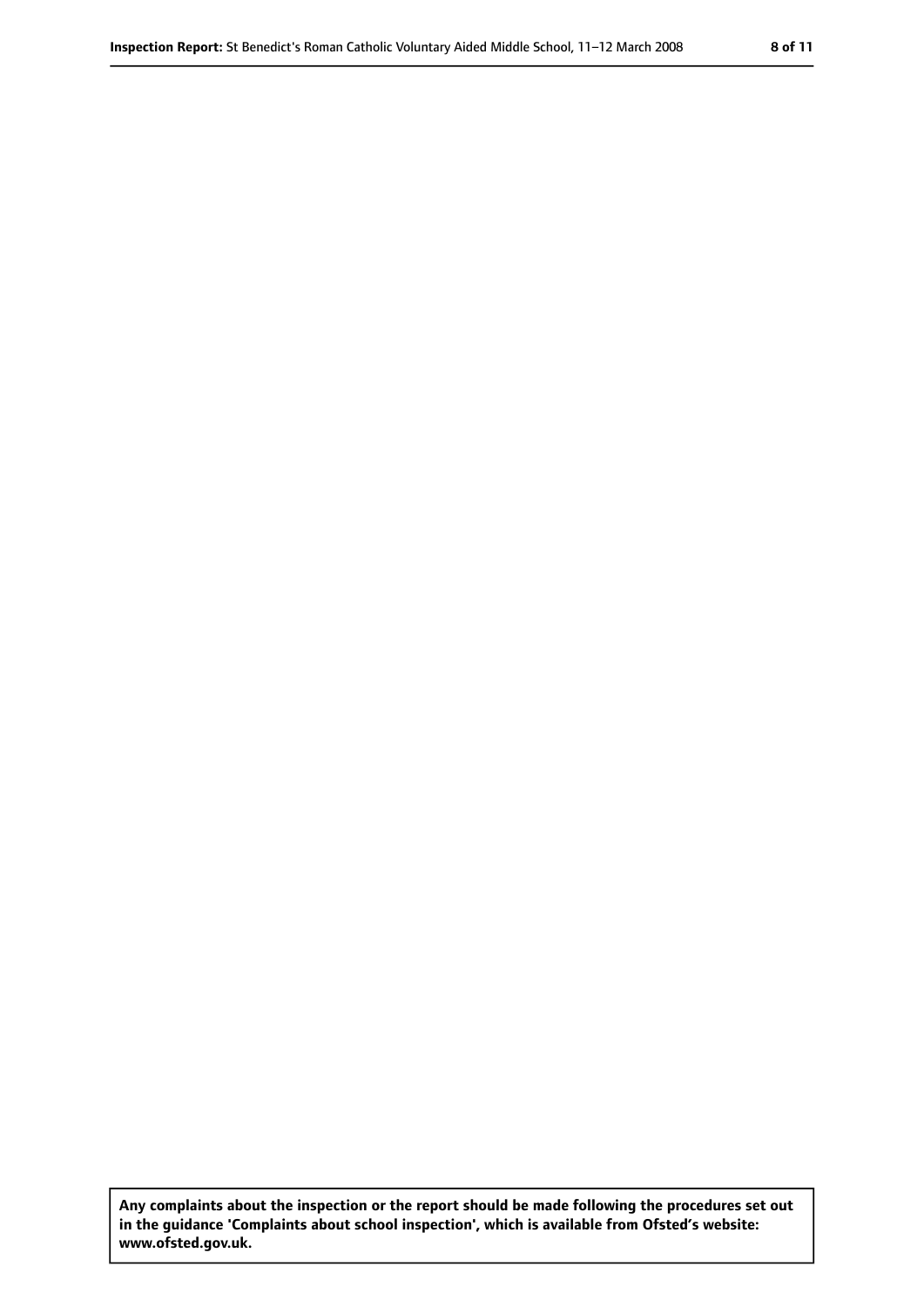**Any complaints about the inspection or the report should be made following the procedures set out in the guidance 'Complaints about school inspection', which is available from Ofsted's website: www.ofsted.gov.uk.**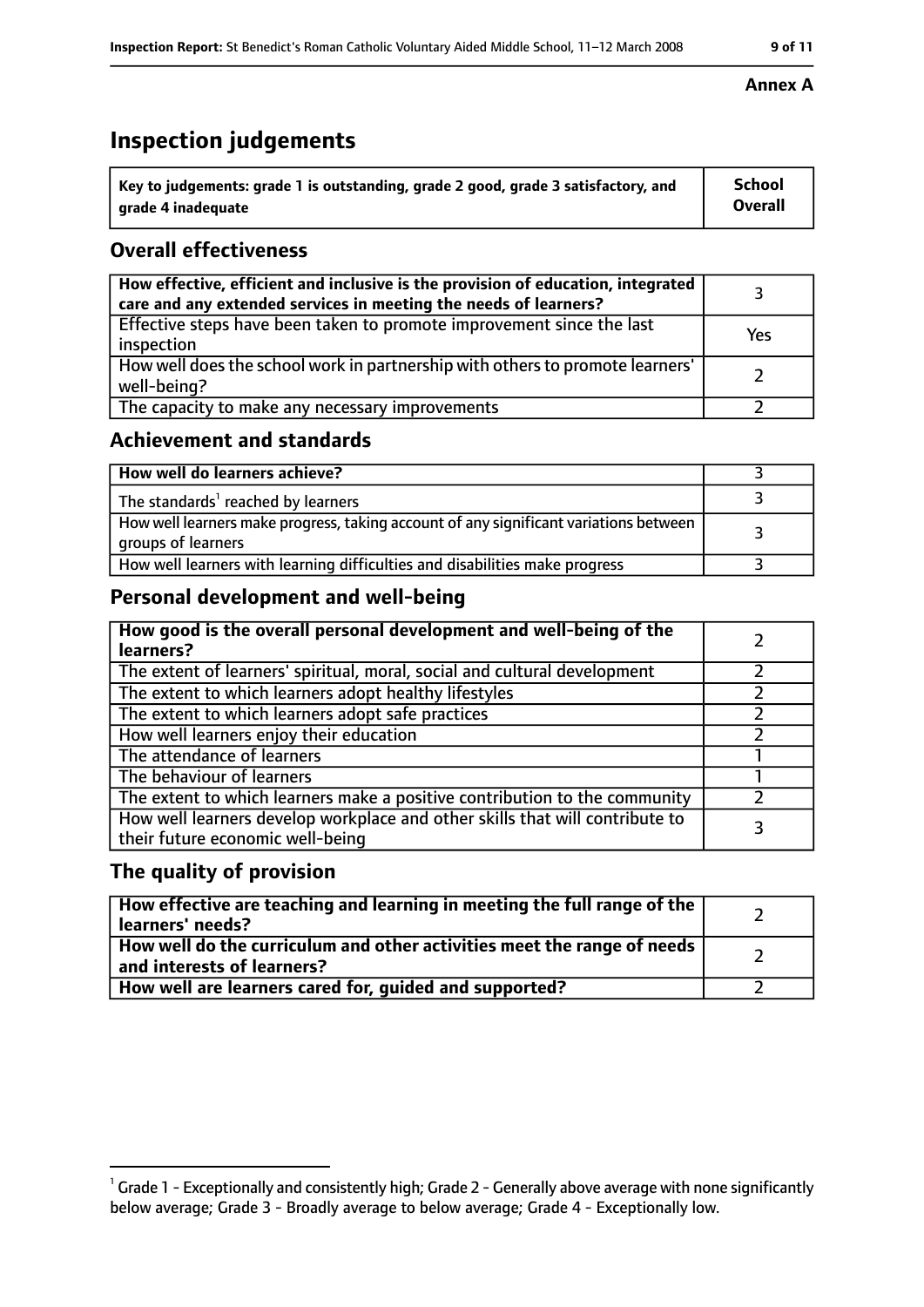# **Inspection judgements**

| $\lq$ Key to judgements: grade 1 is outstanding, grade 2 good, grade 3 satisfactory, and | <b>School</b>  |
|------------------------------------------------------------------------------------------|----------------|
| arade 4 inadequate                                                                       | <b>Overall</b> |

### **Overall effectiveness**

| How effective, efficient and inclusive is the provision of education, integrated<br>care and any extended services in meeting the needs of learners? |     |
|------------------------------------------------------------------------------------------------------------------------------------------------------|-----|
| Effective steps have been taken to promote improvement since the last<br>inspection                                                                  | Yes |
| How well does the school work in partnership with others to promote learners'<br>well-being?                                                         |     |
| The capacity to make any necessary improvements                                                                                                      |     |

### **Achievement and standards**

| How well do learners achieve?                                                                               |  |
|-------------------------------------------------------------------------------------------------------------|--|
| The standards <sup>1</sup> reached by learners                                                              |  |
| How well learners make progress, taking account of any significant variations between<br>groups of learners |  |
| How well learners with learning difficulties and disabilities make progress                                 |  |

## **Personal development and well-being**

| How good is the overall personal development and well-being of the<br>learners?                                  |  |
|------------------------------------------------------------------------------------------------------------------|--|
| The extent of learners' spiritual, moral, social and cultural development                                        |  |
| The extent to which learners adopt healthy lifestyles                                                            |  |
| The extent to which learners adopt safe practices                                                                |  |
| How well learners enjoy their education                                                                          |  |
| The attendance of learners                                                                                       |  |
| The behaviour of learners                                                                                        |  |
| The extent to which learners make a positive contribution to the community                                       |  |
| How well learners develop workplace and other skills that will contribute to<br>their future economic well-being |  |

### **The quality of provision**

| How effective are teaching and learning in meeting the full range of the<br>learners' needs?            |  |
|---------------------------------------------------------------------------------------------------------|--|
| How well do the curriculum and other activities meet the range of needs  <br>and interests of learners? |  |
| How well are learners cared for, guided and supported?                                                  |  |

#### **Annex A**

 $^1$  Grade 1 - Exceptionally and consistently high; Grade 2 - Generally above average with none significantly below average; Grade 3 - Broadly average to below average; Grade 4 - Exceptionally low.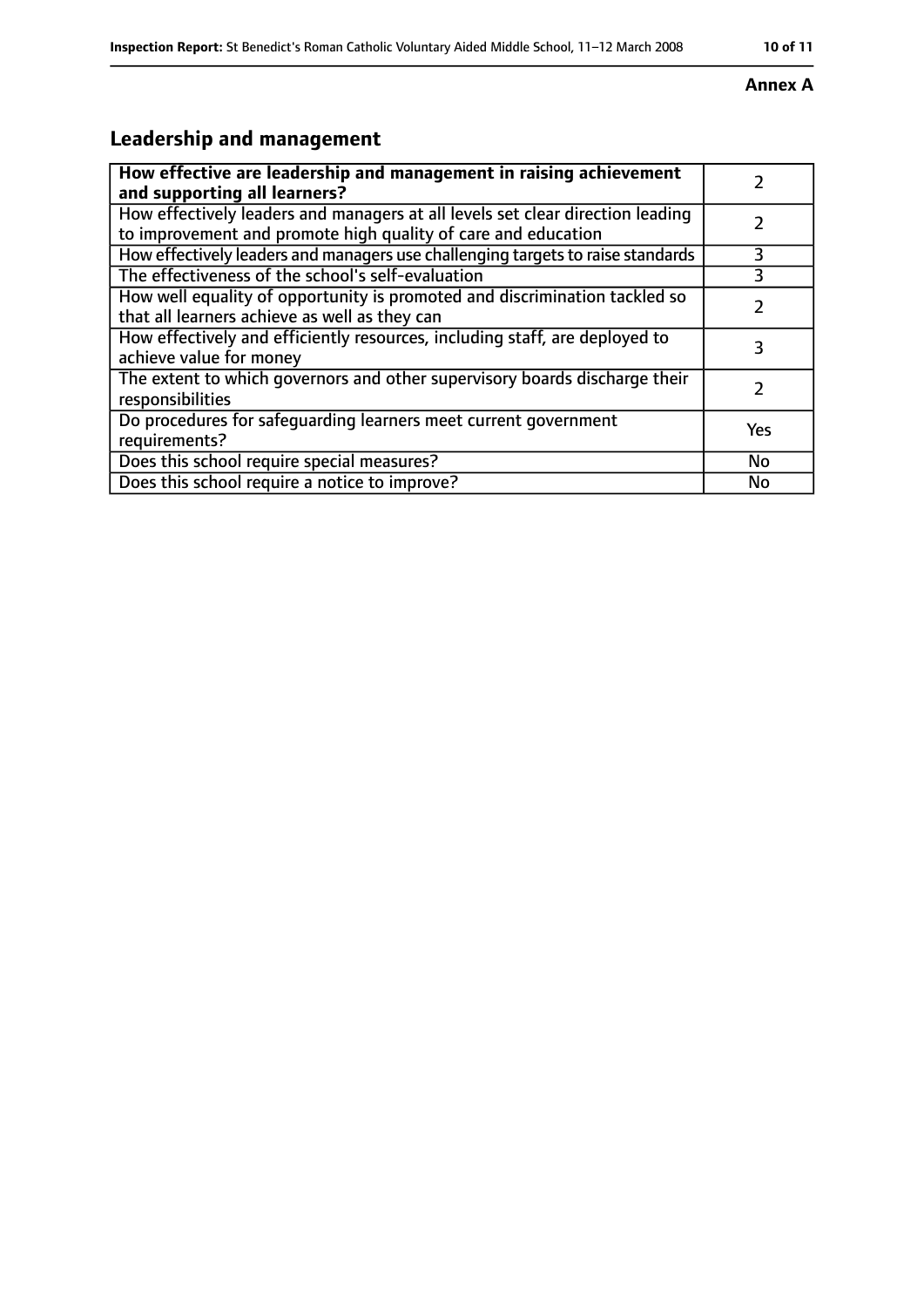### **Annex A**

# **Leadership and management**

| How effective are leadership and management in raising achievement<br>and supporting all learners?                                              |     |
|-------------------------------------------------------------------------------------------------------------------------------------------------|-----|
| How effectively leaders and managers at all levels set clear direction leading<br>to improvement and promote high quality of care and education |     |
| How effectively leaders and managers use challenging targets to raise standards                                                                 | 3   |
| The effectiveness of the school's self-evaluation                                                                                               | 3   |
| How well equality of opportunity is promoted and discrimination tackled so<br>that all learners achieve as well as they can                     |     |
| How effectively and efficiently resources, including staff, are deployed to<br>achieve value for money                                          |     |
| The extent to which governors and other supervisory boards discharge their<br>responsibilities                                                  |     |
| Do procedures for safequarding learners meet current government<br>requirements?                                                                | Yes |
| Does this school require special measures?                                                                                                      | No  |
| Does this school require a notice to improve?                                                                                                   | No  |